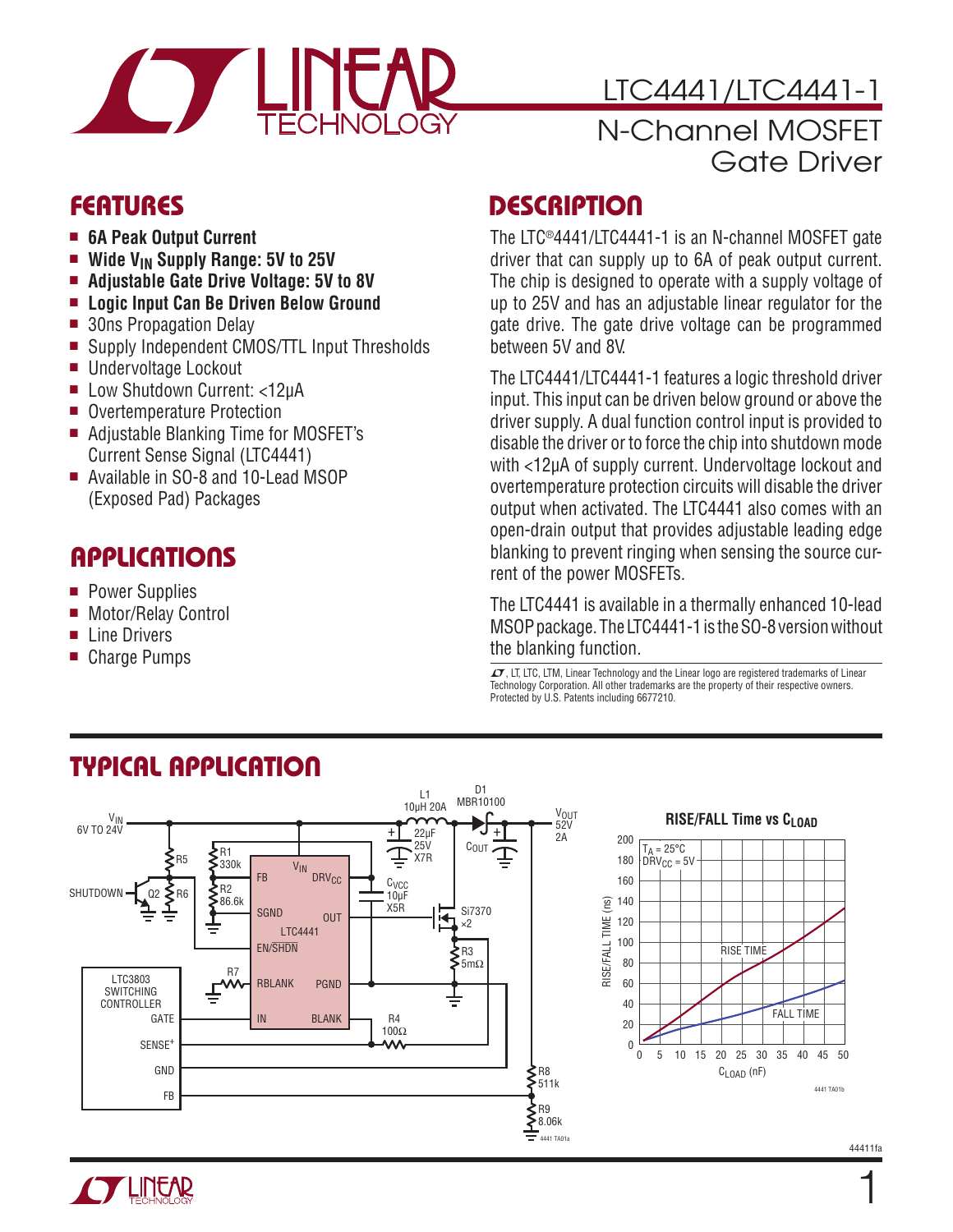

### LTC4441/LTC4441-1

### N-Channel MOSFET Gate Driver

- 6A Peak Output Current
- Wide V<sub>IN</sub> Supply Range: 5V to 25V
- Adjustable Gate Drive Voltage: 5V to 8V
- <sup>n</sup> **Logic Input Can Be Driven Below Ground**
- 30ns Propagation Delay
- Supply Independent CMOS/TTL Input Thresholds
- Undervoltage Lockout
- Low Shutdown Current: <12µA
- Overtemperature Protection
- Adjustable Blanking Time for MOSFET's Current Sense Signal (LTC4441)
- Available in SO-8 and 10-Lead MSOP (Exposed Pad) Packages

### Applications

- **Power Supplies**
- Motor/Relay Control
- $\blacksquare$  Line Drivers
- Charge Pumps

### Features Description

The LTC®4441/LTC4441-1 is an N-channel MOSFET gate driver that can supply up to 6A of peak output current. The chip is designed to operate with a supply voltage of up to 25V and has an adjustable linear regulator for the gate drive. The gate drive voltage can be programmed between 5V and 8V.

The LTC4441/LTC4441-1 features a logic threshold driver input. This input can be driven below ground or above the driver supply. A dual function control input is provided to disable the driver or to force the chip into shutdown mode with <12µA of supply current. Undervoltage lockout and overtemperature protection circuits will disable the driver output when activated. The LTC4441 also comes with an open-drain output that provides adjustable leading edge blanking to prevent ringing when sensing the source current of the power MOSFETs.

The LTC4441 is available in a thermally enhanced 10-lead MSOP package. The LTC4441-1 is the SO-8 version without the blanking function.

 $\mathcal{L}$ , LT, LTC, LTM, Linear Technology and the Linear logo are registered trademarks of Linear Technology Corporation. All other trademarks are the property of their respective owners. Protected by U.S. Patents including 6677210.



### Typical Application



1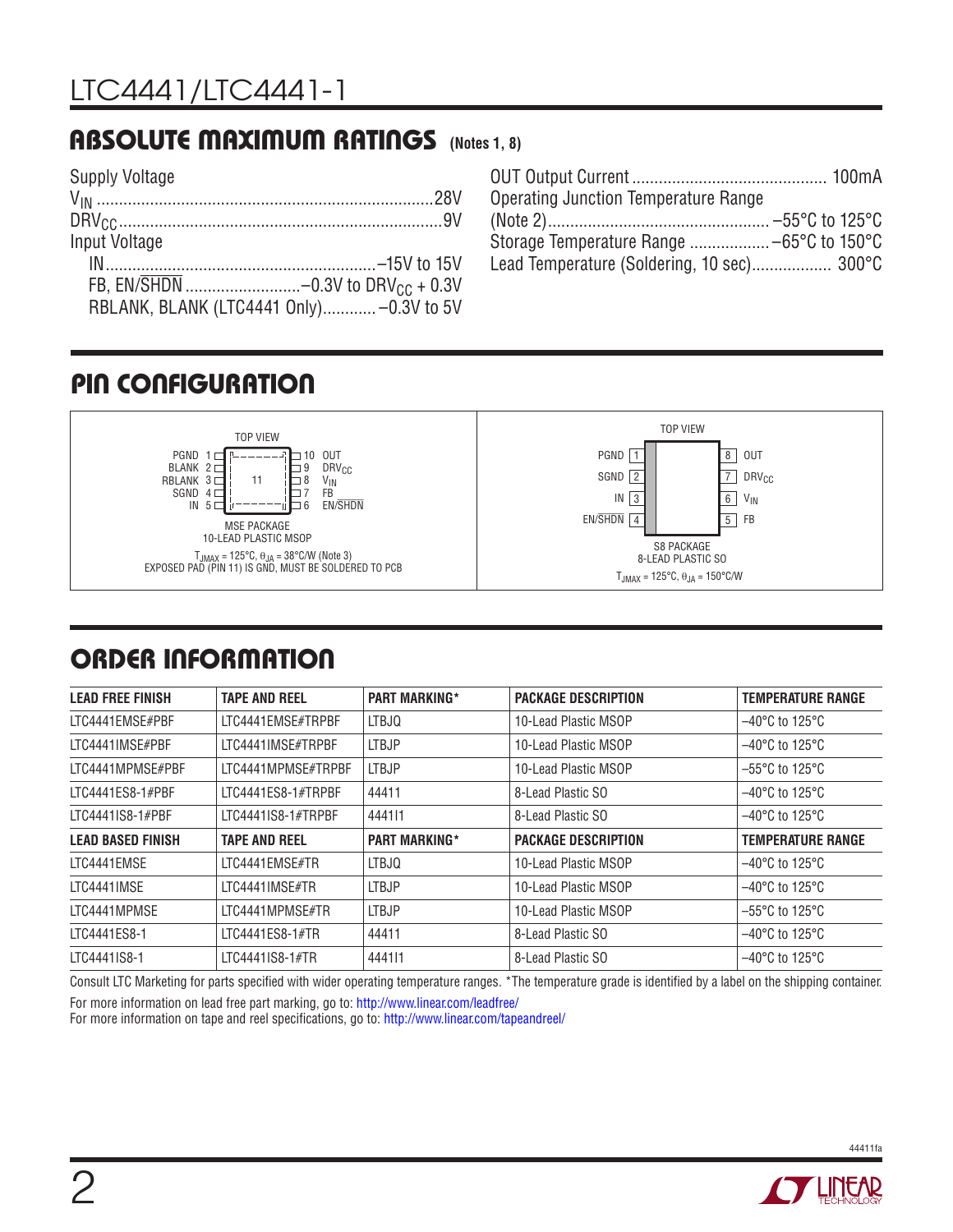### Absolute Maximum Ratings **(Notes 1, 8)**

| <b>Supply Voltage</b>                         |  |
|-----------------------------------------------|--|
|                                               |  |
|                                               |  |
| Input Voltage                                 |  |
|                                               |  |
| FB. EN/SHDN -0.3V to DRV <sub>CC</sub> + 0.3V |  |
| RBLANK, BLANK (LTC4441 Only)-0.3V to 5V       |  |

| Operating Junction Temperature Range       |  |
|--------------------------------------------|--|
|                                            |  |
| Storage Temperature Range  -65°C to 150°C  |  |
| Lead Temperature (Soldering, 10 sec) 300°C |  |
|                                            |  |

### Pin Configuration



### ORDER INFORMATION

| <b>LEAD FREE FINISH</b>  | <b>TAPE AND REEL</b> | <b>PART MARKING*</b> | <b>PACKAGE DESCRIPTION</b> | <b>TEMPERATURE RANGE</b>            |
|--------------------------|----------------------|----------------------|----------------------------|-------------------------------------|
| LTC4441EMSE#PBF          | LTC4441EMSE#TRPBF    | LTBJQ                | 10-Lead Plastic MSOP       | $-40^{\circ}$ C to 125 $^{\circ}$ C |
| LTC4441IMSE#PBF          | LTC4441IMSE#TRPBF    | <b>LTBJP</b>         | 10-Lead Plastic MSOP       | $-40^{\circ}$ C to 125 $^{\circ}$ C |
| LTC4441MPMSE#PBF         | LTC4441MPMSE#TRPBF   | <b>LTBJP</b>         | 10-Lead Plastic MSOP       | $-55^{\circ}$ C to 125 $^{\circ}$ C |
| LTC4441ES8-1#PBF         | LTC4441ES8-1#TRPBF   | 44411                | 8-Lead Plastic SO          | $-40^{\circ}$ C to 125 $^{\circ}$ C |
| LTC4441IS8-1#PBF         | LTC4441IS8-1#TRPBF   | 444111               | 8-Lead Plastic SO          | $-40^{\circ}$ C to 125 $^{\circ}$ C |
| <b>LEAD BASED FINISH</b> | <b>TAPE AND REEL</b> | <b>PART MARKING*</b> | <b>PACKAGE DESCRIPTION</b> | <b>TEMPERATURE RANGE</b>            |
| LTC4441EMSE              | LTC4441EMSE#TR       | <b>LTBJQ</b>         | 10-Lead Plastic MSOP       | $-40^{\circ}$ C to 125 $^{\circ}$ C |
| LTC4441IMSE              | LTC4441IMSE#TR       | <b>LTBJP</b>         | 10-Lead Plastic MSOP       | $-40^{\circ}$ C to 125 $^{\circ}$ C |
| LTC4441MPMSE             | LTC4441MPMSE#TR      | <b>LTBJP</b>         | 10-Lead Plastic MSOP       | $-55^{\circ}$ C to 125 $^{\circ}$ C |
| LTC4441ES8-1             | LTC4441ES8-1#TR      | 44411                | 8-Lead Plastic SO          | $-40^{\circ}$ C to 125 $^{\circ}$ C |
| LTC4441IS8-1             | LTC4441IS8-1#TR      | 444111               | 8-Lead Plastic SO          | $-40^{\circ}$ C to 125 $^{\circ}$ C |

Consult LTC Marketing for parts specified with wider operating temperature ranges. \*The temperature grade is identified by a label on the shipping container.

For more information on lead free part marking, go to: http://www.linear.com/leadfree/

For more information on tape and reel specifications, go to: http://www.linear.com/tapeandreel/

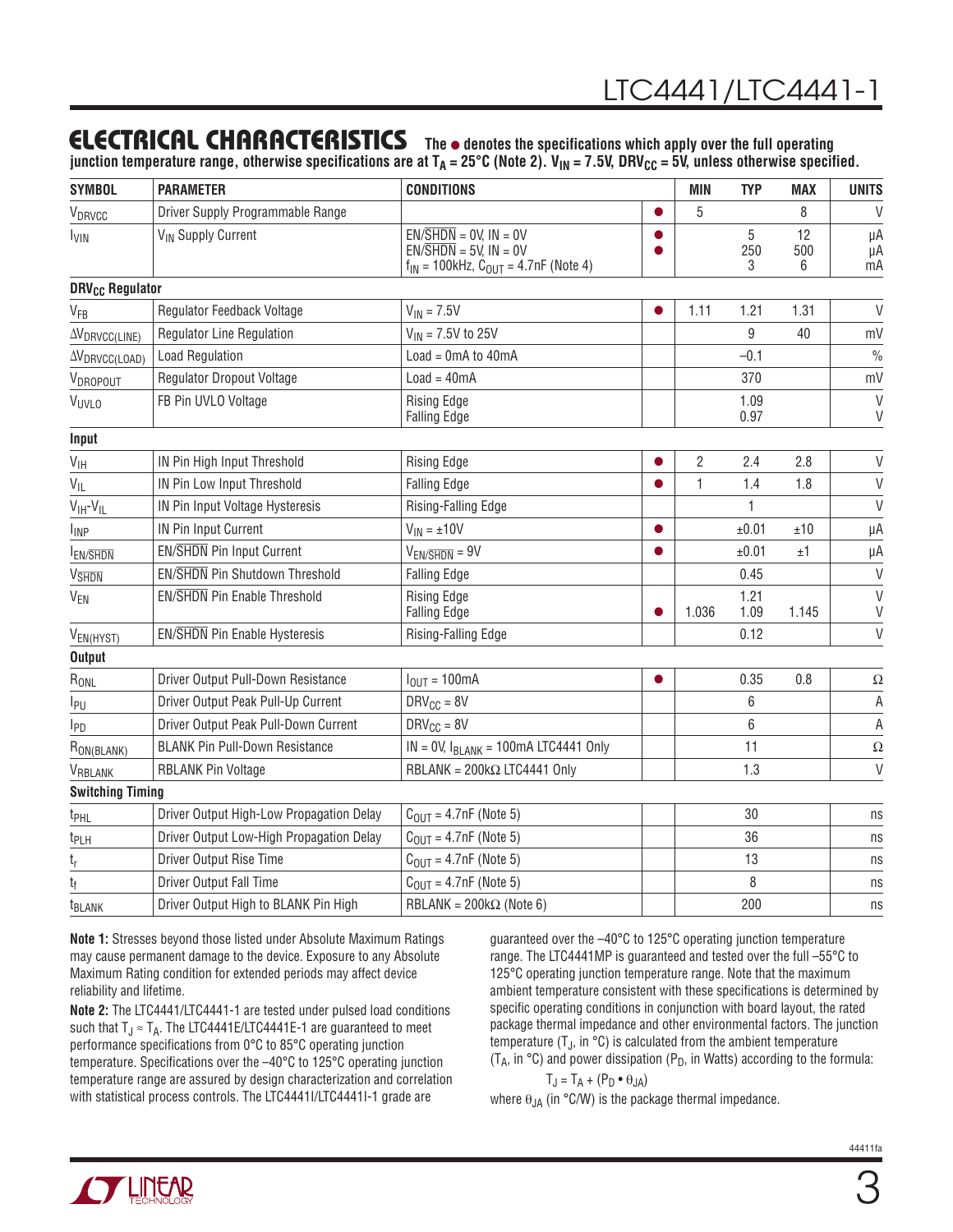### Electrical Characteristics

The  $\bullet$  denotes the specifications which apply over the full operating junction temperature range, otherwise specifications are at  $T_A = 25^{\circ}C$  (Note 2).  $V_{IN} = 7.5V$ , DRV<sub>CC</sub> = 5V, unless otherwise specified.

| <b>SYMBOL</b>                     | <b>PARAMETER</b>                         | <b>CONDITIONS</b>                                                                                                               |           | <b>MIN</b> | <b>TYP</b>    | <b>MAX</b>     | <b>UNITS</b>     |
|-----------------------------------|------------------------------------------|---------------------------------------------------------------------------------------------------------------------------------|-----------|------------|---------------|----------------|------------------|
| V <sub>DRVCC</sub>                | Driver Supply Programmable Range         |                                                                                                                                 | $\bullet$ | 5          |               | 8              | V                |
| I <sub>VIN</sub>                  | V <sub>IN</sub> Supply Current           | $EN/\overline{SHDN} = 0V$ , $IN = 0V$<br>$EN/\overline{SHDN} = 5V$ , $IN = OV$<br>$f_{IN}$ = 100kHz, $C_{OUT}$ = 4.7nF (Note 4) | $\bullet$ |            | 5<br>250<br>3 | 12<br>500<br>6 | μA<br>μA<br>mA   |
| <b>DRV<sub>CC</sub></b> Regulator |                                          |                                                                                                                                 |           |            |               |                |                  |
| V <sub>FB</sub>                   | Regulator Feedback Voltage               | $V_{IN} = 7.5V$                                                                                                                 |           | 1.11       | 1.21          | 1.31           | $\vee$           |
| $\Delta V_{DRVCC(LINE)}$          | <b>Regulator Line Regulation</b>         | $V_{IN}$ = 7.5V to 25V                                                                                                          |           |            | 9             | 40             | mV               |
| $\Delta V_{DRVCC(LOAD)}$          | <b>Load Regulation</b>                   | $Load = OmA$ to $40mA$                                                                                                          |           |            | $-0.1$        |                | $\frac{0}{0}$    |
| VDROPOUT                          | <b>Regulator Dropout Voltage</b>         | $Load = 40mA$                                                                                                                   |           |            | 370           |                | mV               |
| <b>VUVLO</b>                      | FB Pin UVLO Voltage                      | <b>Rising Edge</b><br><b>Falling Edge</b>                                                                                       |           |            | 1.09<br>0.97  |                | $\vee$<br>$\vee$ |
| Input                             |                                          |                                                                                                                                 |           |            |               |                |                  |
| $V_{\text{IH}}$                   | IN Pin High Input Threshold              | <b>Rising Edge</b>                                                                                                              |           | 2          | 2.4           | 2.8            | $\mathsf{V}$     |
| $V_{IL}$                          | IN Pin Low Input Threshold               | <b>Falling Edge</b>                                                                                                             | $\bullet$ | 1          | 1.4           | 1.8            | $\vee$           |
| $V_{\text{IH}}-V_{\text{IL}}$     | IN Pin Input Voltage Hysteresis          | Rising-Falling Edge                                                                                                             |           |            | $\mathbf{1}$  |                | $\vee$           |
| <b>I</b> <sub>INP</sub>           | IN Pin Input Current                     | $V_{IN} = \pm 10V$                                                                                                              | $\bullet$ |            | ±0.01         | ±10            | μA               |
| <b>IEN/SHDN</b>                   | EN/SHDN Pin Input Current                | $V_{EN/SHDN} = 9V$                                                                                                              |           |            | ±0.01         | ±1             | μA               |
| <b>V</b> SHDN                     | <b>EN/SHDN Pin Shutdown Threshold</b>    | <b>Falling Edge</b>                                                                                                             |           |            | 0.45          |                | $\vee$           |
| <b>V<sub>EN</sub></b>             | EN/SHDN Pin Enable Threshold             | <b>Rising Edge</b><br><b>Falling Edge</b>                                                                                       |           | 1.036      | 1.21<br>1.09  | 1.145          | $\vee$<br>V      |
| V <sub>EN(HYST)</sub>             | <b>EN/SHDN Pin Enable Hysteresis</b>     | Rising-Falling Edge                                                                                                             |           |            | 0.12          |                | $\vee$           |
| <b>Output</b>                     |                                          |                                                                                                                                 |           |            |               |                |                  |
| $R_{ONL}$                         | Driver Output Pull-Down Resistance       | $I_{OUT} = 100mA$                                                                                                               | $\bullet$ |            | 0.35          | 0.8            | $\Omega$         |
| I <sub>PU</sub>                   | Driver Output Peak Pull-Up Current       | $DRV_{CC} = 8V$                                                                                                                 |           |            | 6             |                | Α                |
| I <sub>PD</sub>                   | Driver Output Peak Pull-Down Current     | $DRV_{CC} = 8V$                                                                                                                 |           |            | 6             |                | $\mathsf A$      |
| RON(BLANK)                        | <b>BLANK Pin Pull-Down Resistance</b>    | $IN = OV$ , $I_{BLANK} = 100mA$ LTC4441 Only                                                                                    |           |            | 11            |                | $\Omega$         |
| VRBLANK                           | RBLANK Pin Voltage                       | RBLANK = $200k\Omega$ LTC4441 Only                                                                                              |           |            | 1.3           |                | $\vee$           |
| <b>Switching Timing</b>           |                                          |                                                                                                                                 |           |            |               |                |                  |
| t <sub>PHL</sub>                  | Driver Output High-Low Propagation Delay | $COUT = 4.7nF (Note 5)$                                                                                                         |           |            | 30            |                | ns               |
| t <sub>PLH</sub>                  | Driver Output Low-High Propagation Delay | $C_{OUT} = 4.7$ nF (Note 5)                                                                                                     |           |            | 36            |                | ns               |
| t <sub>r</sub>                    | Driver Output Rise Time                  | $C_{OUT} = 4.7$ nF (Note 5)                                                                                                     |           |            | 13            |                | ns               |
| t <sub>f</sub>                    | Driver Output Fall Time                  | $COUT = 4.7nF$ (Note 5)                                                                                                         |           |            | 8             |                | ns               |
| <b>t</b> <sub>BLANK</sub>         | Driver Output High to BLANK Pin High     | RBLANK = $200k\Omega$ (Note 6)                                                                                                  |           |            | 200           |                | ns               |

**Note 1:** Stresses beyond those listed under Absolute Maximum Ratings may cause permanent damage to the device. Exposure to any Absolute Maximum Rating condition for extended periods may affect device reliability and lifetime.

**Note 2:** The LTC4441/LTC4441-1 are tested under pulsed load conditions such that  $T_J \approx T_A$ . The LTC4441E/LTC4441E-1 are guaranteed to meet performance specifications from 0°C to 85°C operating junction temperature. Specifications over the –40°C to 125°C operating junction temperature range are assured by design characterization and correlation with statistical process controls. The LTC4441I/LTC4441I-1 grade are

guaranteed over the –40°C to 125°C operating junction temperature range. The LTC4441MP is guaranteed and tested over the full –55°C to 125°C operating junction temperature range. Note that the maximum ambient temperature consistent with these specifications is determined by specific operating conditions in conjunction with board layout, the rated package thermal impedance and other environmental factors. The junction temperature  $(T_{J}$ , in °C) is calculated from the ambient temperature (T<sub>A</sub>, in  $\degree$ C) and power dissipation (P<sub>D</sub>, in Watts) according to the formula:

$$
T_J = T_A + (P_D \cdot \theta_{JA})
$$
  
9. (in 90.00) is the package their

where  $\theta_{JA}$  (in °C/W) is the package thermal impedance.

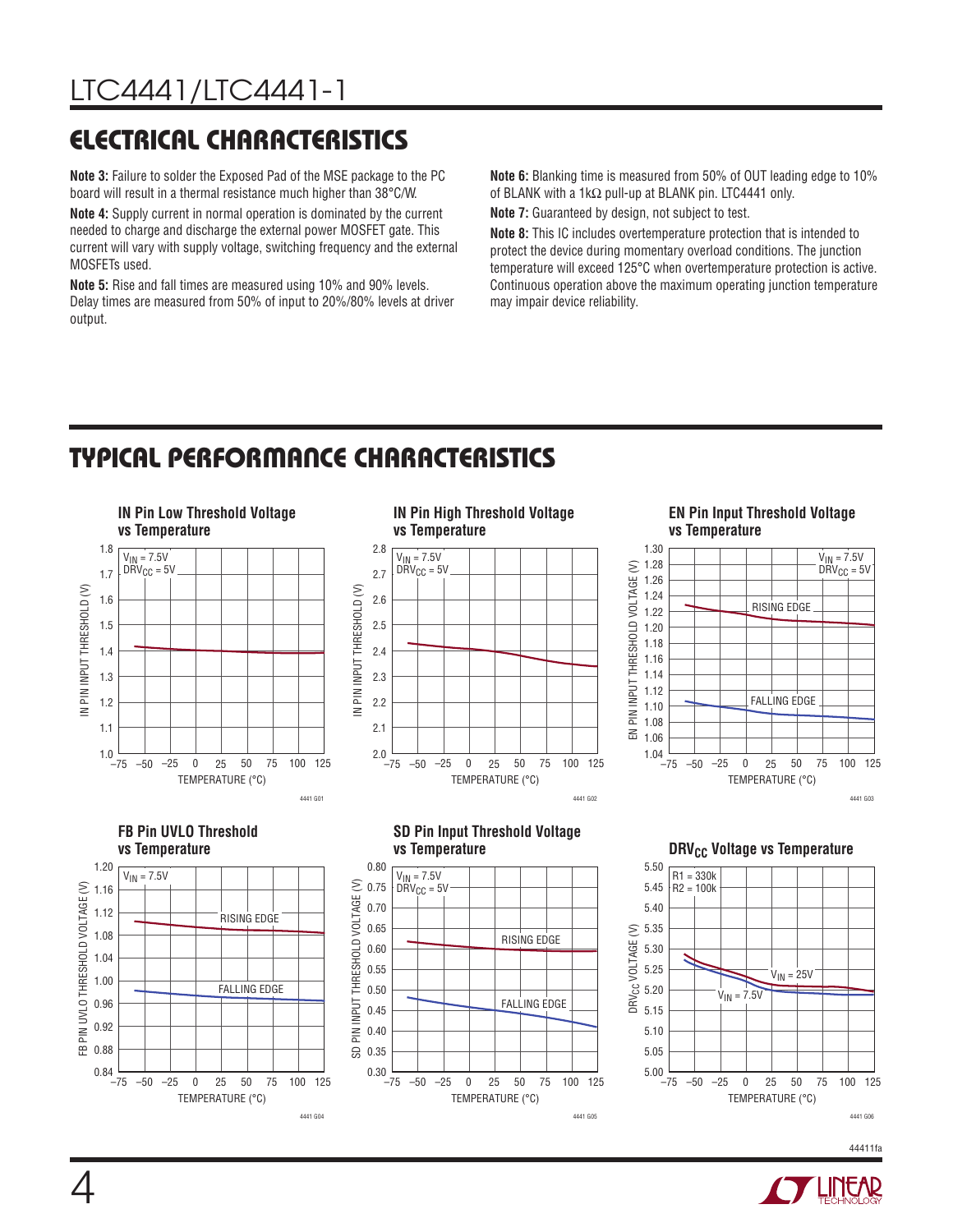### Electrical Characteristics

**Note 3:** Failure to solder the Exposed Pad of the MSE package to the PC board will result in a thermal resistance much higher than 38°C/W.

**Note 4:** Supply current in normal operation is dominated by the current needed to charge and discharge the external power MOSFET gate. This current will vary with supply voltage, switching frequency and the external MOSFETs used.

**Note 5:** Rise and fall times are measured using 10% and 90% levels. Delay times are measured from 50% of input to 20%/80% levels at driver output.

**Note 6:** Blanking time is measured from 50% of OUT leading edge to 10% of BLANK with a 1kΩ pull-up at BLANK pin. LTC4441 only. **Note 7:** Guaranteed by design, not subject to test.

**Note 8:** This IC includes overtemperature protection that is intended to protect the device during momentary overload conditions. The junction temperature will exceed 125°C when overtemperature protection is active. Continuous operation above the maximum operating junction temperature may impair device reliability.

### Typical Performance Characteristics

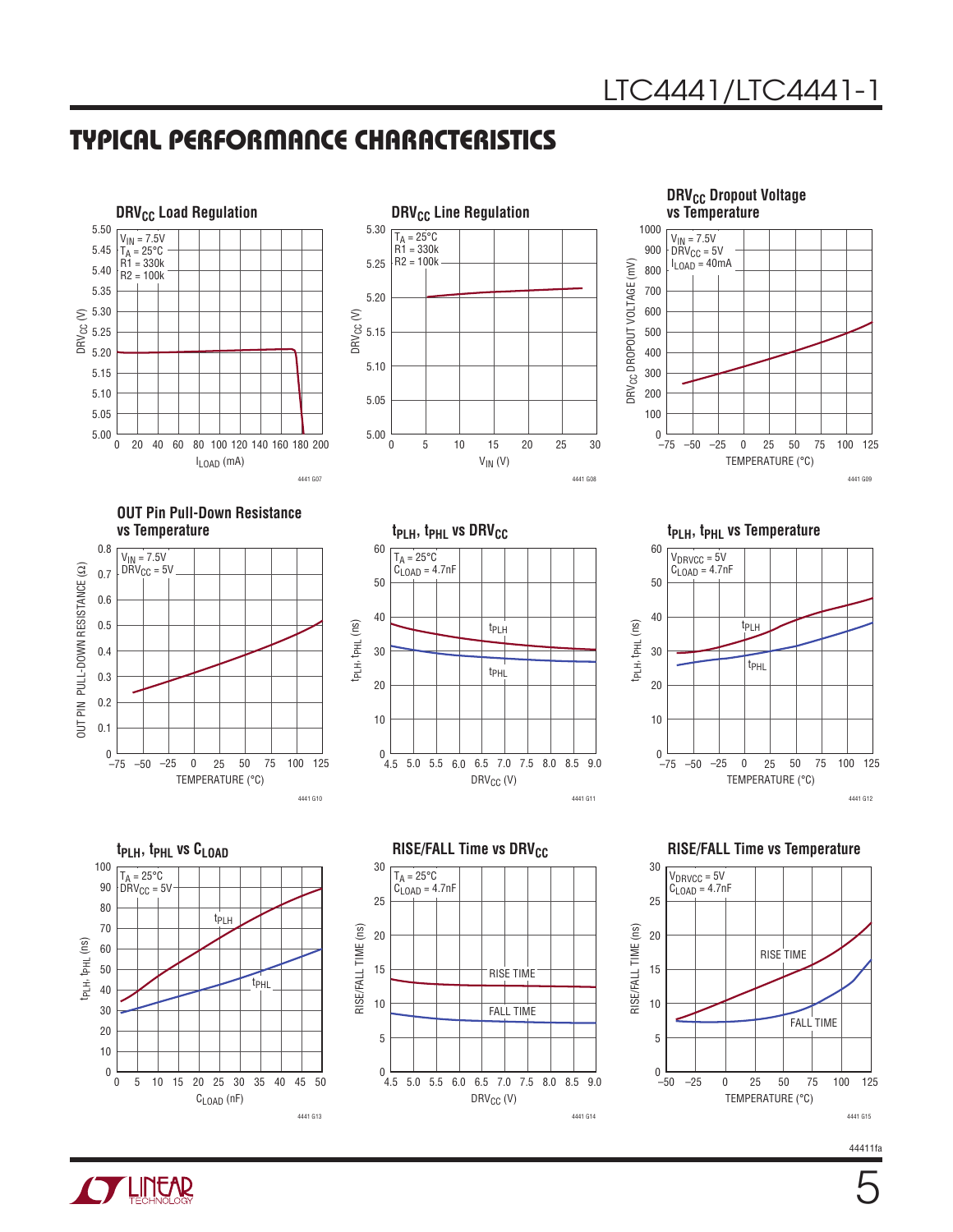### Typical Performance Characteristics







**OUT Pin Pull-Down Resistance** 













**CYLINEAR**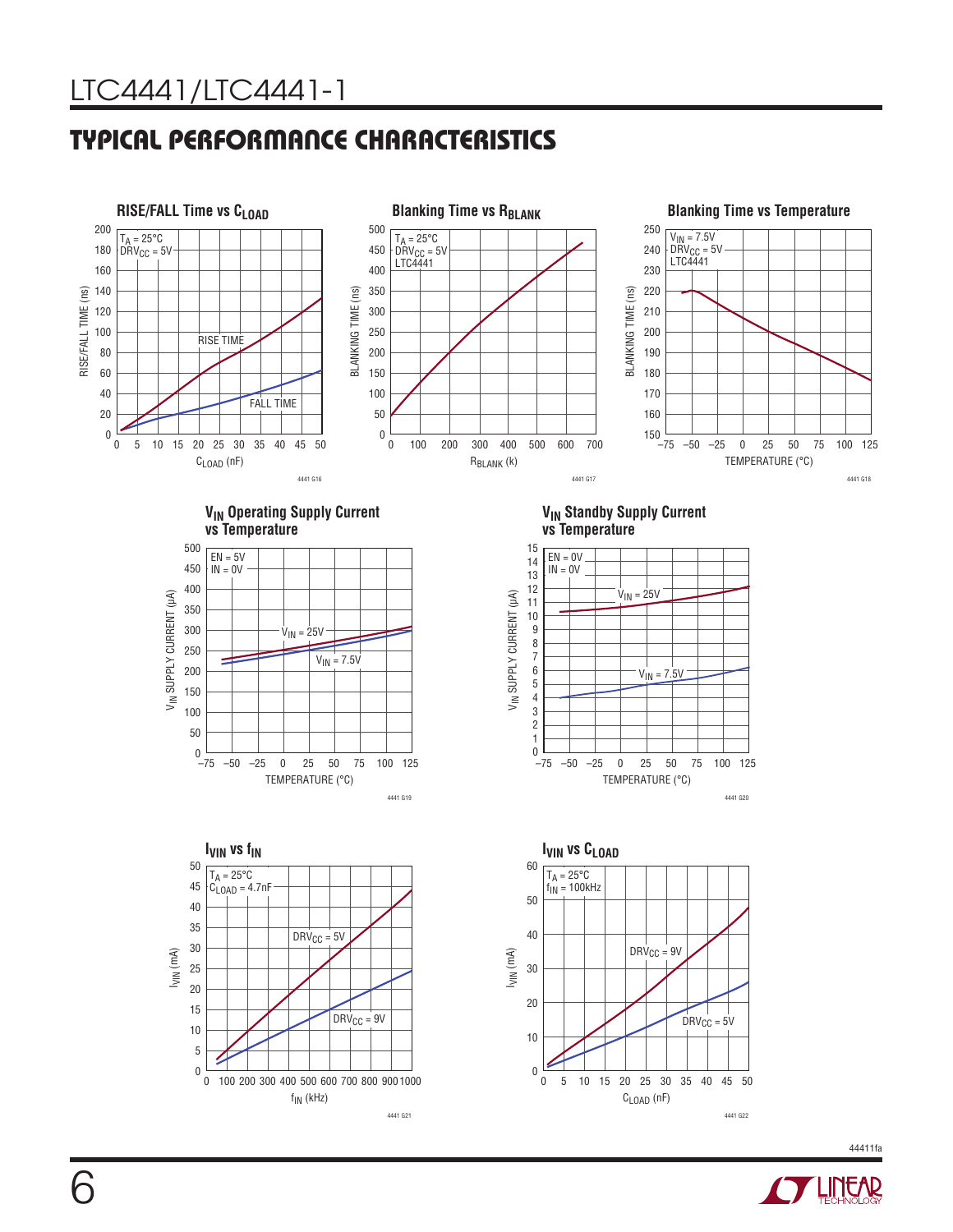### Typical Performance Characteristics









**VIN Standby Supply Current vs Temperature**





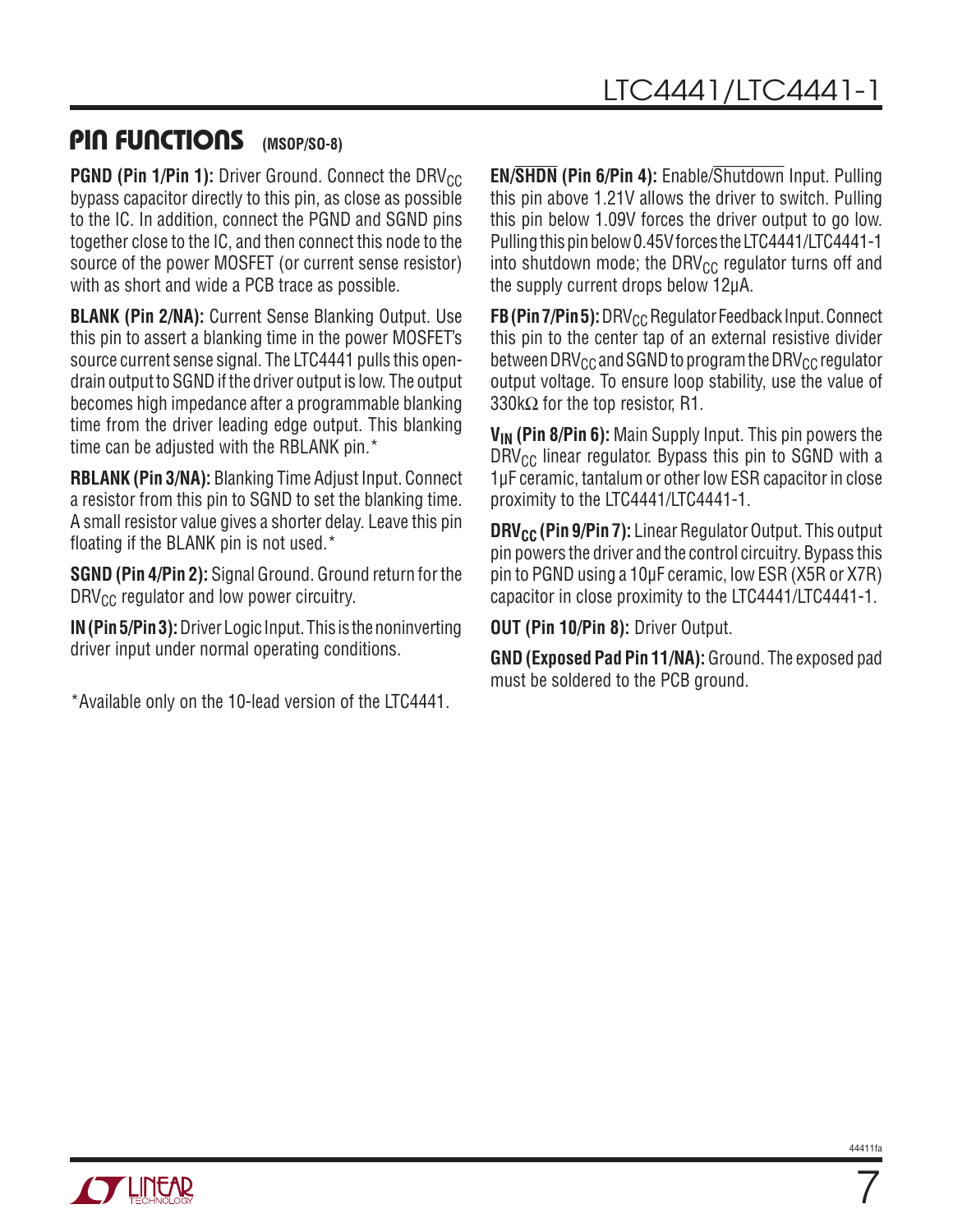#### Pin Functions **(MSOP/SO-8)**

**PGND (Pin 1/Pin 1):** Driver Ground. Connect the DRV<sub>CC</sub> bypass capacitor directly to this pin, as close as possible to the IC. In addition, connect the PGND and SGND pins together close to the IC, and then connect this node to the source of the power MOSFET (or current sense resistor) with as short and wide a PCB trace as possible.

**BLANK (Pin 2/NA):** Current Sense Blanking Output. Use this pin to assert a blanking time in the power MOSFET's source current sense signal. The LTC4441 pulls this opendrain output to SGND if the driver output is low. The output becomes high impedance after a programmable blanking time from the driver leading edge output. This blanking time can be adjusted with the RBLANK pin.<sup>\*</sup>

**RBLANK (Pin 3/NA):** Blanking Time Adjust Input. Connect a resistor from this pin to SGND to set the blanking time. A small resistor value gives a shorter delay. Leave this pin floating if the BLANK pin is not used.\*

**SGND (Pin 4/Pin 2):** Signal Ground. Ground return for the  $DRV_{CC}$  regulator and low power circuitry.

**IN (Pin 5/Pin 3):** Driver Logic Input. This is the noninverting driver input under normal operating conditions.

\*Available only on the 10-lead version of the LTC4441.

**EN/SHDN (Pin 6/Pin 4):** Enable/Shutdown Input. Pulling this pin above 1.21V allows the driver to switch. Pulling this pin below 1.09V forces the driver output to go low. Pulling this pin below 0.45V forces the LTC4441/LTC4441-1 into shutdown mode; the DRV $_{\text{CC}}$  regulator turns off and the supply current drops below 12μA.

**FB (Pin 7/Pin 5):** DRV<sub>CC</sub> Regulator Feedback Input. Connect this pin to the center tap of an external resistive divider between DRV $_{\text{CC}}$  and SGND to program the DRV $_{\text{CC}}$  regulator output voltage. To ensure loop stability, use the value of 330k $\Omega$  for the top resistor, R1.

**V<sub>IN</sub>** (Pin 8/Pin 6): Main Supply Input. This pin powers the  $DRV_{CC}$  linear regulator. Bypass this pin to SGND with a 1μF ceramic, tantalum or other low ESR capacitor in close proximity to the LTC4441/LTC4441-1.

**DRV<sub>CC</sub> (Pin 9/Pin 7):** Linear Regulator Output. This output pin powers the driver and the control circuitry. Bypass this pin to PGND using a 10μF ceramic, low ESR (X5R or X7R) capacitor in close proximity to the LTC4441/LTC4441-1.

**OUT (Pin 10/Pin 8):** Driver Output.

**GND (Exposed Pad Pin 11/NA):** Ground. The exposed pad must be soldered to the PCB ground.



7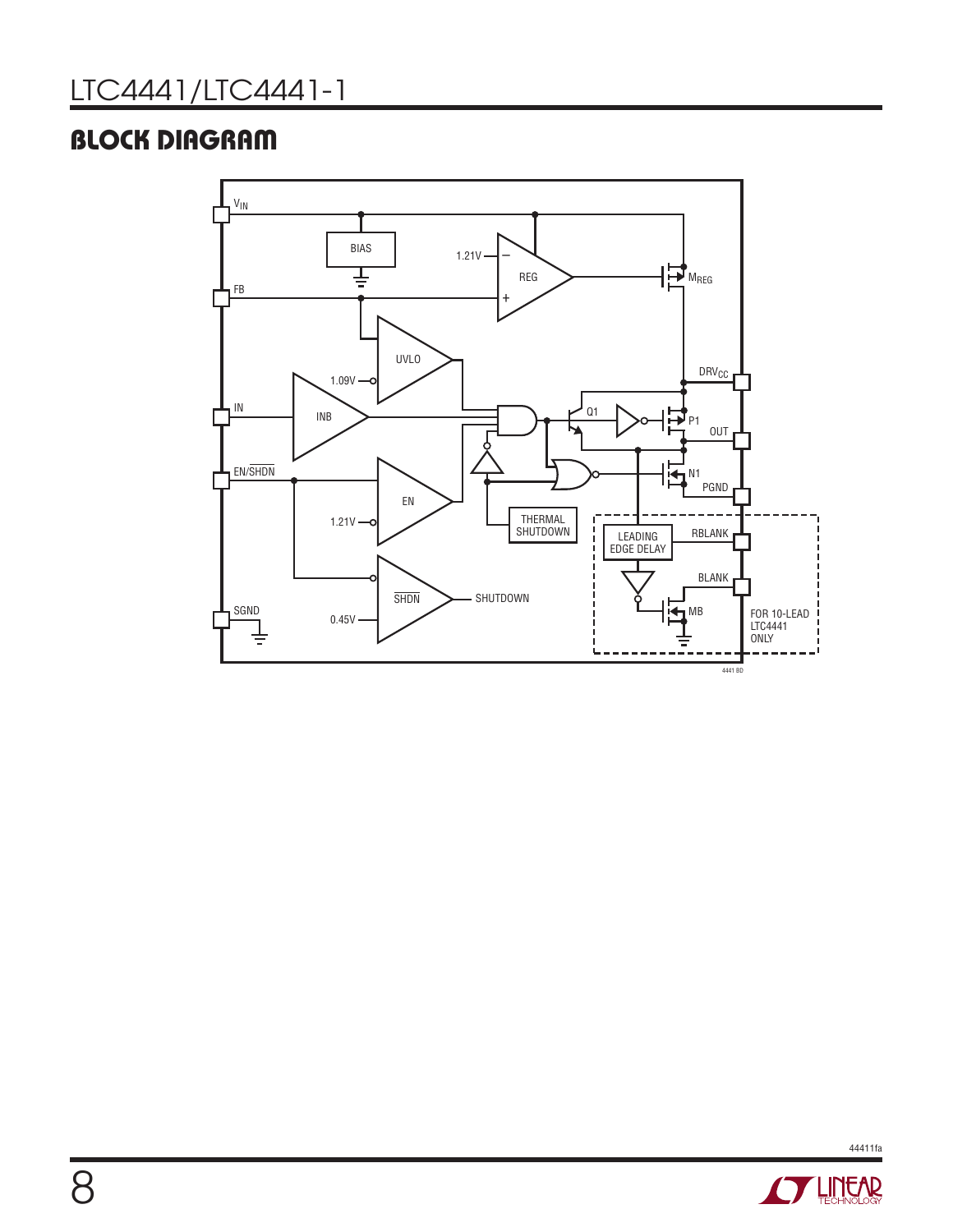### **BLOCK DIAGRAM**



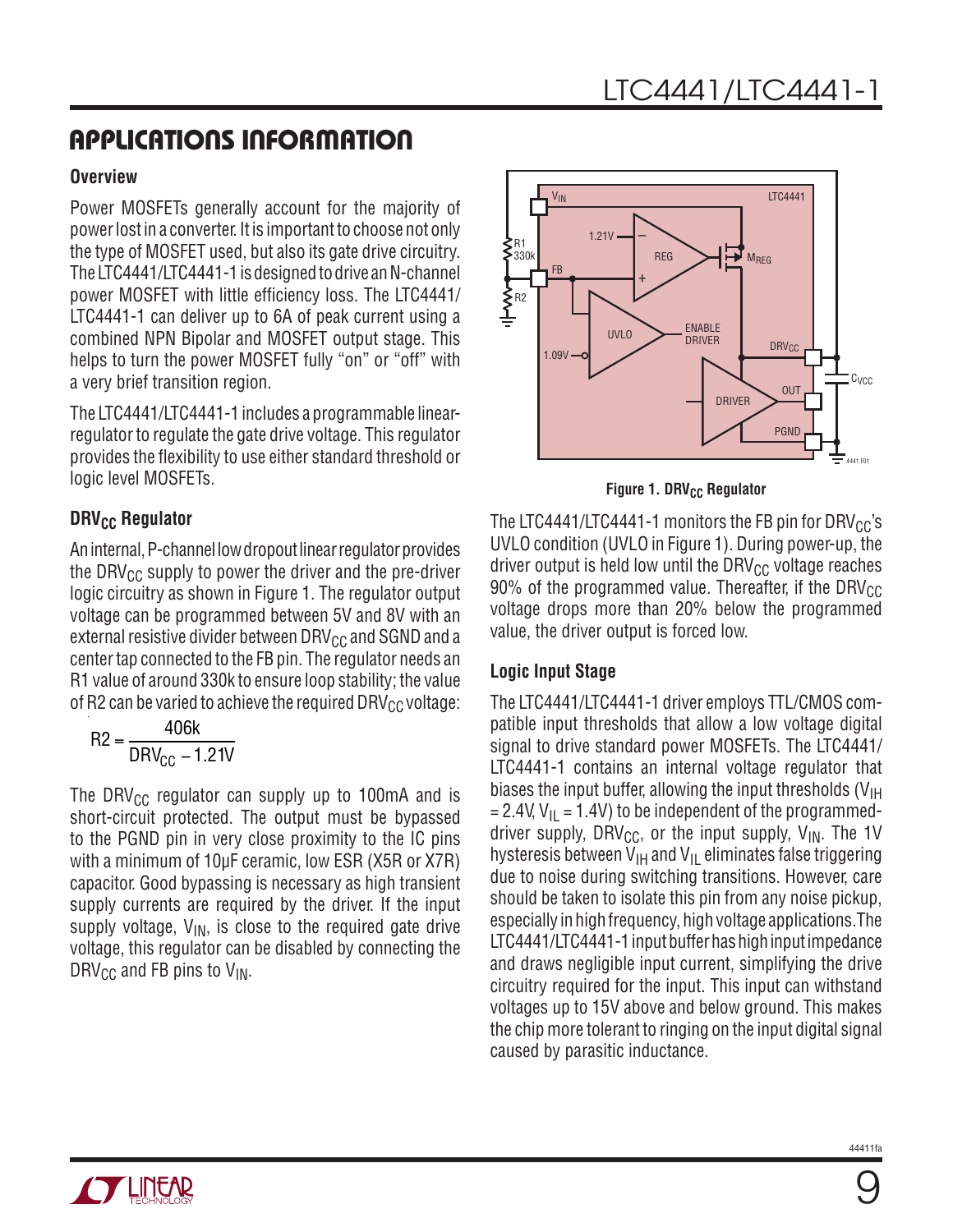#### **Overview**

Power MOSFETs generally account for the majority of power lost in a converter. It is important to choose not only the type of MOSFET used, but also its gate drive circuitry. The LTC4441/LTC4441-1 is designed to drive an N-channel power MOSFET with little efficiency loss. The LTC4441/ LTC4441-1 can deliver up to 6A of peak current using a combined NPN Bipolar and MOSFET output stage. This helps to turn the power MOSFET fully "on" or "off" with a very brief transition region.

The LTC4441/LTC4441-1 includes a programmable linearregulator to regulate the gate drive voltage. This regulator provides the flexibility to use either standard threshold or logic level MOSFETs.

### **DRV<sub>CC</sub> Regulator**

An internal, P-channel low dropout linear regulator provides the DRV $_{CC}$  supply to power the driver and the pre-driver logic circuitry as shown in Figure 1. The regulator output voltage can be programmed between 5V and 8V with an external resistive divider between  $DRV_{CC}$  and SGND and a center tap connected to the FB pin. The regulator needs an R1 value of around 330k to ensure loop stability; the value of R2 can be varied to achieve the required DRV $_{\text{CC}}$  voltage:

$$
R2 = \frac{406k}{DRV_{CC} - 1.21V}
$$

The DRV<sub>CC</sub> regulator can supply up to 100mA and is short-circuit protected. The output must be bypassed to the PGND pin in very close proximity to the IC pins with a minimum of 10µF ceramic, low ESR (X5R or X7R) capacitor. Good bypassing is necessary as high transient supply currents are required by the driver. If the input supply voltage,  $V_{IN}$ , is close to the required gate drive voltage, this regulator can be disabled by connecting the DRV<sub>CC</sub> and FB pins to  $V_{IN}$ .



**Figure 1. DRV<sub>CC</sub> Regulator** 

The LTC4441/LTC4441-1 monitors the FB pin for DRV $_{\rm CC}$ 's UVLO condition (UVLO in Figure 1). During power-up, the driver output is held low until the DRV $_{CC}$  voltage reaches 90% of the programmed value. Thereafter, if the DRV $_{\text{CC}}$ voltage drops more than 20% below the programmed value, the driver output is forced low.

#### **Logic Input Stage**

The LTC4441/LTC4441-1 driver employs TTL/CMOS compatible input thresholds that allow a low voltage digital signal to drive standard power MOSFETs. The LTC4441/ LTC4441-1 contains an internal voltage regulator that biases the input buffer, allowing the input thresholds  $(V_{\text{IH}})$  $= 2.4V, V_{\text{II}} = 1.4V$ ) to be independent of the programmeddriver supply, DRV<sub>CC</sub>, or the input supply,  $V_{IN}$ . The 1V hysteresis between  $V_{\text{IH}}$  and  $V_{\text{IL}}$  eliminates false triggering due to noise during switching transitions. However, care should be taken to isolate this pin from any noise pickup, especially in high frequency, high voltage applications.The LTC4441/LTC4441-1 input buffer has high input impedance and draws negligible input current, simplifying the drive circuitry required for the input. This input can withstand voltages up to 15V above and below ground. This makes the chip more tolerant to ringing on the input digital signal caused by parasitic inductance.

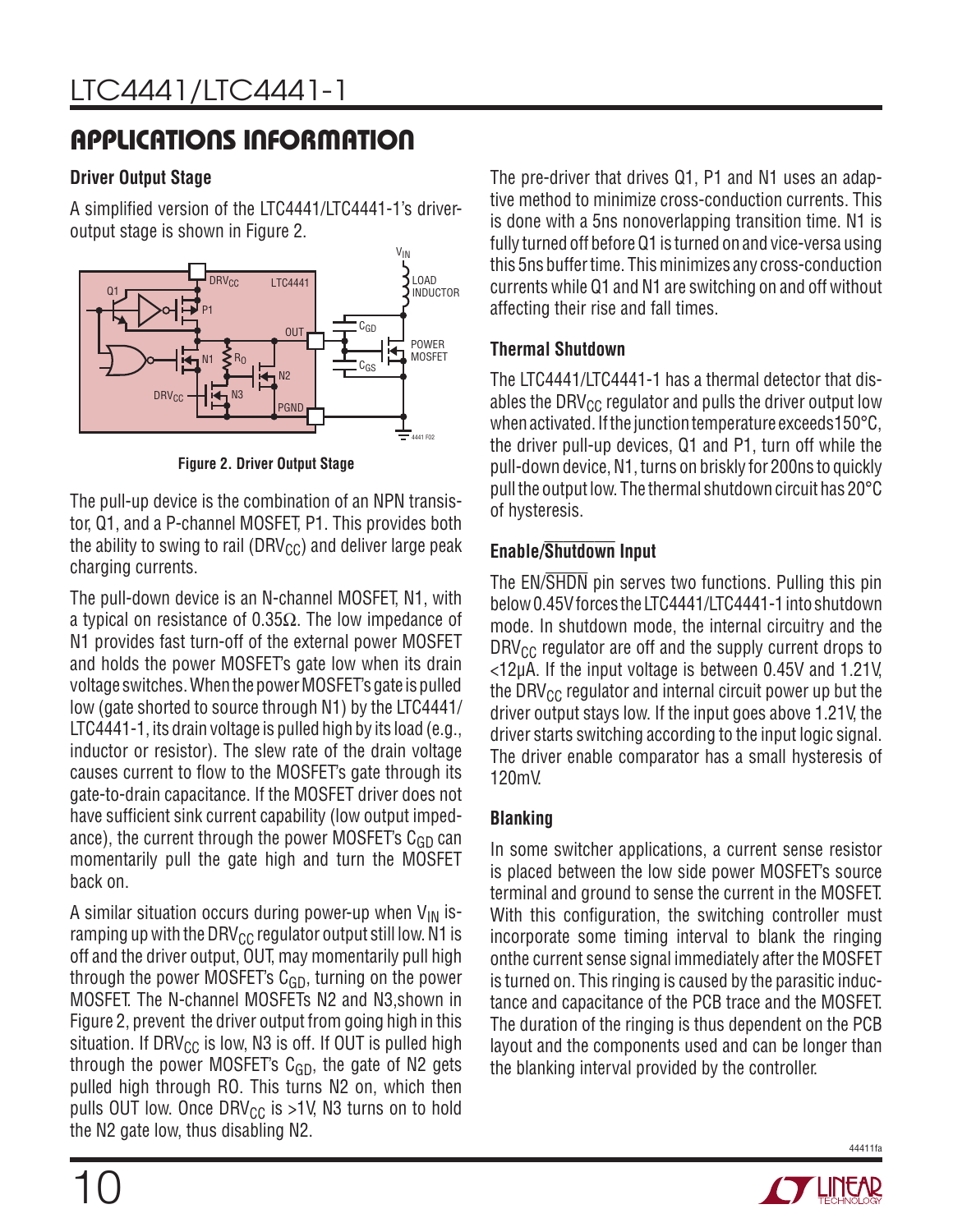#### **Driver Output Stage**

A simplified version of the LTC4441/LTC4441-1's driveroutput stage is shown in Figure 2.



**Figure 2. Driver Output Stage**

The pull-up device is the combination of an NPN transistor, Q1, and a P-channel MOSFET, P1. This provides both the ability to swing to rail (DRV $_{\text{CC}}$ ) and deliver large peak charging currents.

The pull-down device is an N-channel MOSFET, N1, with a typical on resistance of 0.35 $\Omega$ . The low impedance of N1 provides fast turn-off of the external power MOSFET and holds the power MOSFET's gate low when its drain voltage switches. When the power MOSFET's gate is pulled low (gate shorted to source through N1) by the LTC4441/ LTC4441-1, its drain voltage is pulled high by its load (e.g., inductor or resistor). The slew rate of the drain voltage causes current to flow to the MOSFET's gate through its gate-to-drain capacitance. If the MOSFET driver does not have sufficient sink current capability (low output impedance), the current through the power MOSFET's  $C_{GD}$  can momentarily pull the gate high and turn the MOSFET back on.

A similar situation occurs during power-up when  $V_{IN}$  isramping up with the DRV<sub>CC</sub> regulator output still low. N1 is off and the driver output, OUT, may momentarily pull high through the power MOSFET's  $C_{GD}$ , turning on the power MOSFET. The N-channel MOSFETs N2 and N3,shown in Figure 2, prevent the driver output from going high in this situation. If DRV<sub>CC</sub> is low, N3 is off. If OUT is pulled high through the power MOSFET's  $C_{GD}$ , the gate of N2 gets pulled high through RO. This turns N2 on, which then pulls OUT low. Once DRV $_{\text{CC}}$  is >1V, N3 turns on to hold the N2 gate low, thus disabling N2.

The pre-driver that drives Q1, P1 and N1 uses an adaptive method to minimize cross-conduction currents. This is done with a 5ns nonoverlapping transition time. N1 is fully turned off before Q1 is turned on and vice-versa using this 5ns buffer time. This minimizes any cross-conduction currents while Q1 and N1 are switching on and off without affecting their rise and fall times.

### **Thermal Shutdown**

The LTC4441/LTC4441-1 has a thermal detector that disables the DRV $_{\text{CC}}$  regulator and pulls the driver output low when activated. If the junction temperature exceeds150°C, the driver pull-up devices, Q1 and P1, turn off while the pull-down device, N1, turns on briskly for 200ns to quickly pull the output low. The thermal shutdown circuit has 20°C of hysteresis.

### **Enable/Shutdown Input**

The EN/SHDN pin serves two functions. Pulling this pin below 0.45V forces the LTC4441/LTC4441-1 into shutdown mode. In shutdown mode, the internal circuitry and the  $DRV_{CC}$  regulator are off and the supply current drops to <12µA. If the input voltage is between 0.45V and 1.21V, the DRV $_{\text{CC}}$  regulator and internal circuit power up but the driver output stays low. If the input goes above 1.21V, the driver starts switching according to the input logic signal. The driver enable comparator has a small hysteresis of 120mV.

### **Blanking**

In some switcher applications, a current sense resistor is placed between the low side power MOSFET's source terminal and ground to sense the current in the MOSFET. With this configuration, the switching controller must incorporate some timing interval to blank the ringing onthe current sense signal immediately after the MOSFET is turned on. This ringing is caused by the parasitic inductance and capacitance of the PCB trace and the MOSFET. The duration of the ringing is thus dependent on the PCB layout and the components used and can be longer than the blanking interval provided by the controller.

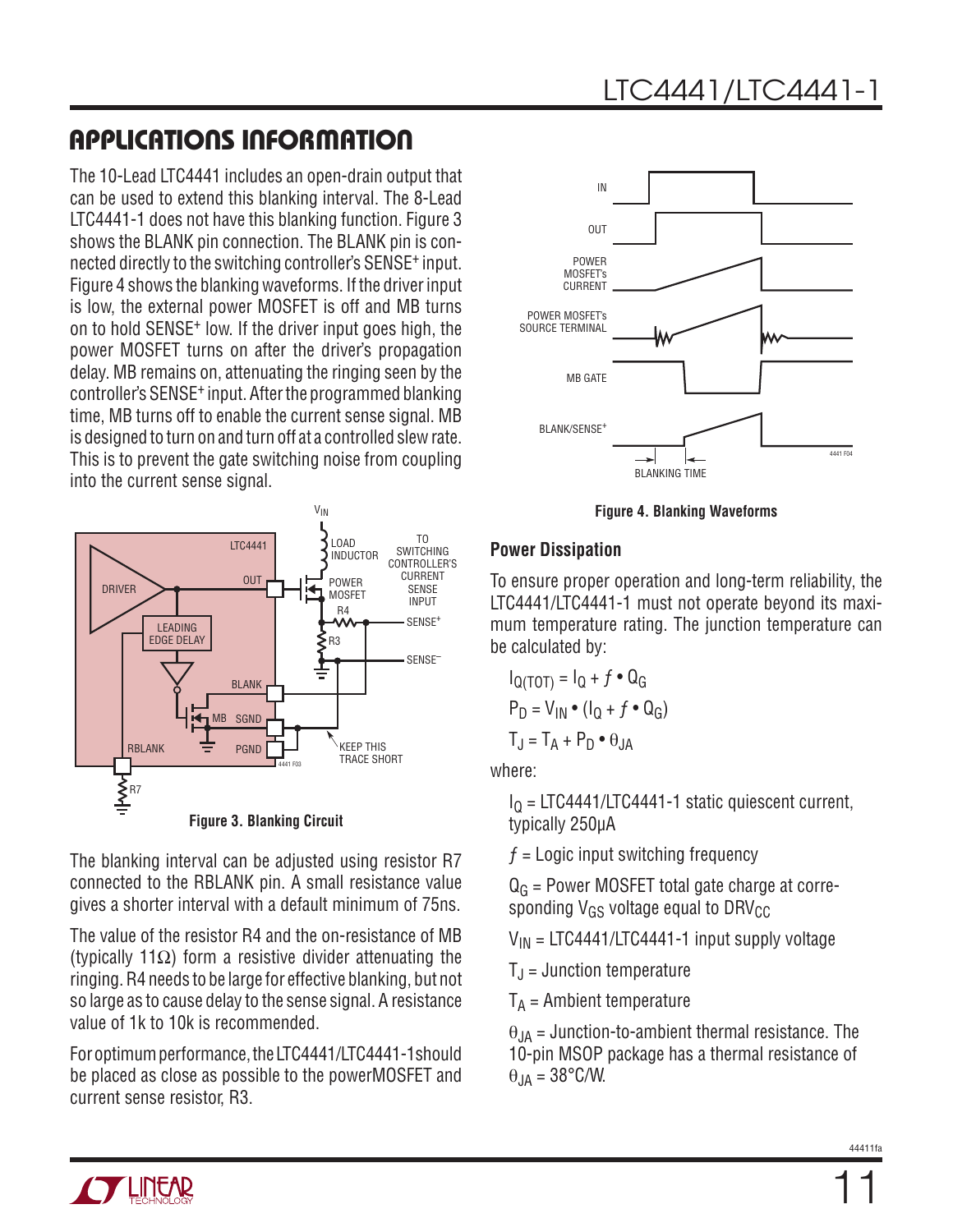The 10-Lead LTC4441 includes an open-drain output that can be used to extend this blanking interval. The 8-Lead LTC4441-1 does not have this blanking function. Figure 3 shows the BLANK pin connection. The BLANK pin is connected directly to the switching controller's SENSE+ input. Figure 4 shows the blanking waveforms. If the driver input is low, the external power MOSFET is off and MB turns on to hold SENSE+ low. If the driver input goes high, the power MOSFET turns on after the driver's propagation delay. MB remains on, attenuating the ringing seen by the controller's SENSE+ input. After the programmed blanking time, MB turns off to enable the current sense signal. MB is designed to turn on and turn off at a controlled slew rate. This is to prevent the gate switching noise from coupling into the current sense signal.



The blanking interval can be adjusted using resistor R7 connected to the RBLANK pin. A small resistance value gives a shorter interval with a default minimum of 75ns.

The value of the resistor R4 and the on-resistance of MB (typically 11Ω) form a resistive divider attenuating the ringing. R4 needs to be large for effective blanking, but not so large as to cause delay to the sense signal. A resistance value of 1k to 10k is recommended.

For optimum performance, the LTC4441/LTC4441-1should be placed as close as possible to the powerMOSFET and current sense resistor, R3.



**Figure 4. Blanking Waveforms**

#### **Power Dissipation**

To ensure proper operation and long-term reliability, the LTC4441/LTC4441-1 must not operate beyond its maximum temperature rating. The junction temperature can be calculated by:

$$
I_{Q(TOT)} = I_Q + f \cdot Q_G
$$
  
P<sub>D</sub> = V<sub>IN</sub> • (I<sub>Q</sub> + f • Q<sub>G</sub>)  
T<sub>J</sub> = T<sub>A</sub> + P<sub>D</sub> • θ<sub>JA</sub>

where:

 $I<sub>0</sub>$  = LTC4441/LTC4441-1 static quiescent current, typically 250µA

 $f =$  Logic input switching frequency

 $Q<sub>G</sub>$  = Power MOSFET total gate charge at corresponding  $V_{GS}$  voltage equal to DRV $_{GC}$ 

 $V_{IN}$  = LTC4441/LTC4441-1 input supply voltage

 $T_{\rm J}$  = Junction temperature

 $T_A$  = Ambient temperature

 $\theta_{JA}$  = Junction-to-ambient thermal resistance. The 10-pin MSOP package has a thermal resistance of  $\theta$ JA = 38°C/W.

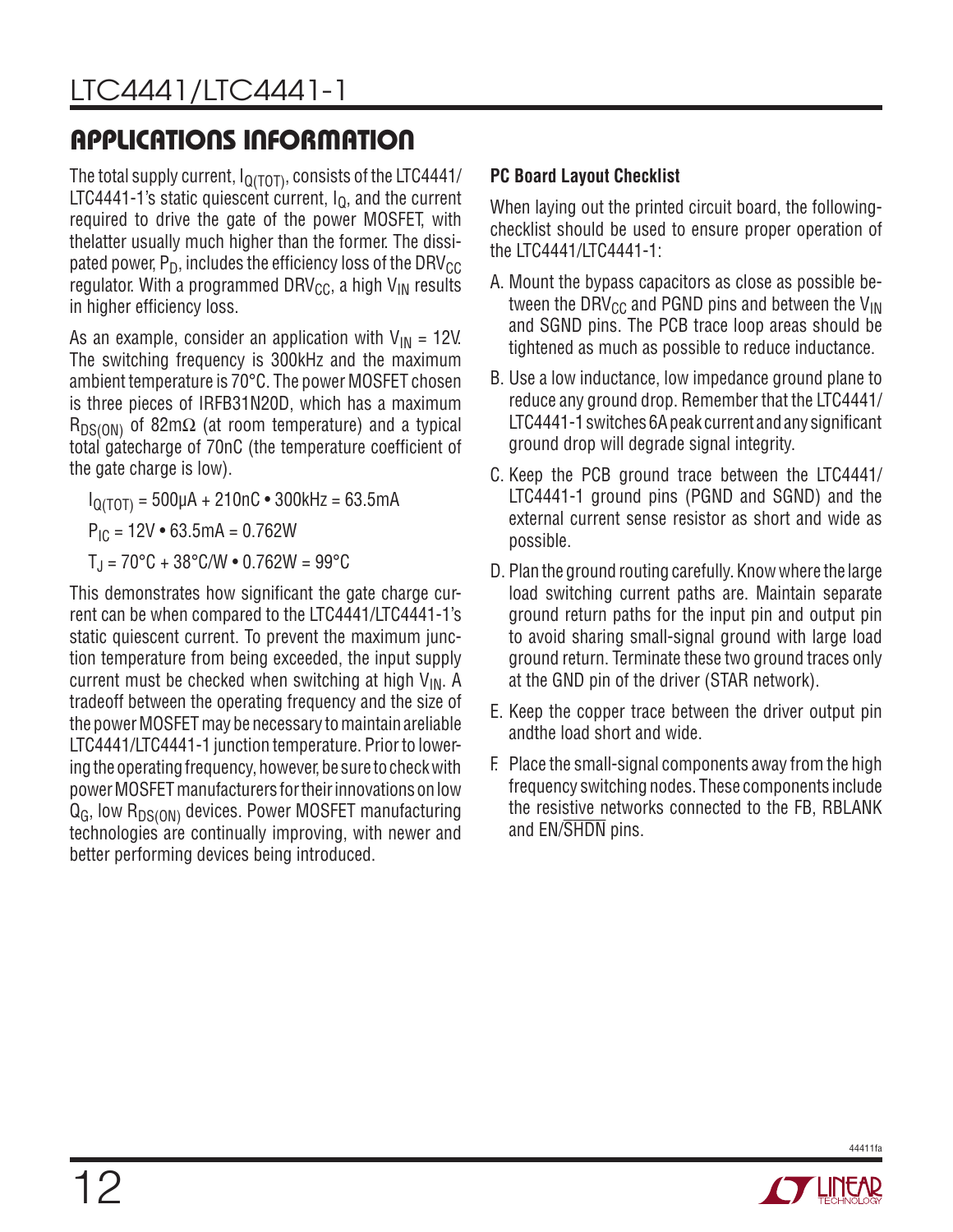The total supply current,  $I_{Q(TOT)}$ , consists of the LTC4441/ LTC4441-1's static quiescent current,  $I<sub>Q</sub>$ , and the current required to drive the gate of the power MOSFET, with thelatter usually much higher than the former. The dissipated power,  $P_D$ , includes the efficiency loss of the DRV $_{\rm CC}$ regulator. With a programmed DRV<sub>CC</sub>, a high V<sub>IN</sub> results in higher efficiency loss.

As an example, consider an application with  $V_{IN} = 12V$ . The switching frequency is 300kHz and the maximum ambient temperature is 70°C. The power MOSFET chosen is three pieces of IRFB31N20D, which has a maximum  $R_{DS(ON)}$  of 82m $\Omega$  (at room temperature) and a typical total gatecharge of 70nC (the temperature coefficient of the gate charge is low).

 $I_{\Omega(TOT)} = 500 \mu A + 210 nC \cdot 300 kHz = 63.5 mA$ 

 $P_{IC}$  = 12V • 63.5mA = 0.762W

 $T_{\rm J}$  = 70°C + 38°C/W  $\bullet$  0.762W = 99°C

This demonstrates how significant the gate charge current can be when compared to the LTC4441/LTC4441-1's static quiescent current. To prevent the maximum junction temperature from being exceeded, the input supply current must be checked when switching at high  $V_{IN}$ . A tradeoff between the operating frequency and the size of the power MOSFET may be necessary to maintain areliable LTC4441/LTC4441-1 junction temperature. Prior to lowering the operating frequency, however, be sure to check with power MOSFET manufacturers for their innovations on low  $Q_G$ , low  $R_{DS(ON)}$  devices. Power MOSFET manufacturing technologies are continually improving, with newer and better performing devices being introduced.

### **PC Board Layout Checklist**

When laying out the printed circuit board, the followingchecklist should be used to ensure proper operation of the LTC4441/LTC4441-1:

- A. Mount the bypass capacitors as close as possible between the DRV<sub>CC</sub> and PGND pins and between the  $V_{IN}$ and SGND pins. The PCB trace loop areas should be tightened as much as possible to reduce inductance.
- B. Use a low inductance, low impedance ground plane to reduce any ground drop. Remember that the LTC4441/ LTC4441-1 switches 6A peak current and any significant ground drop will degrade signal integrity.
- C. Keep the PCB ground trace between the LTC4441/ LTC4441-1 ground pins (PGND and SGND) and the external current sense resistor as short and wide as possible.
- D. Plan the ground routing carefully. Know where the large load switching current paths are. Maintain separate ground return paths for the input pin and output pin to avoid sharing small-signal ground with large load ground return. Terminate these two ground traces only at the GND pin of the driver (STAR network).
- E. Keep the copper trace between the driver output pin andthe load short and wide.
- F. Place the small-signal components away from the high frequency switching nodes. These components include the resistive networks connected to the FB, RBLANK and EN/SHDN pins.

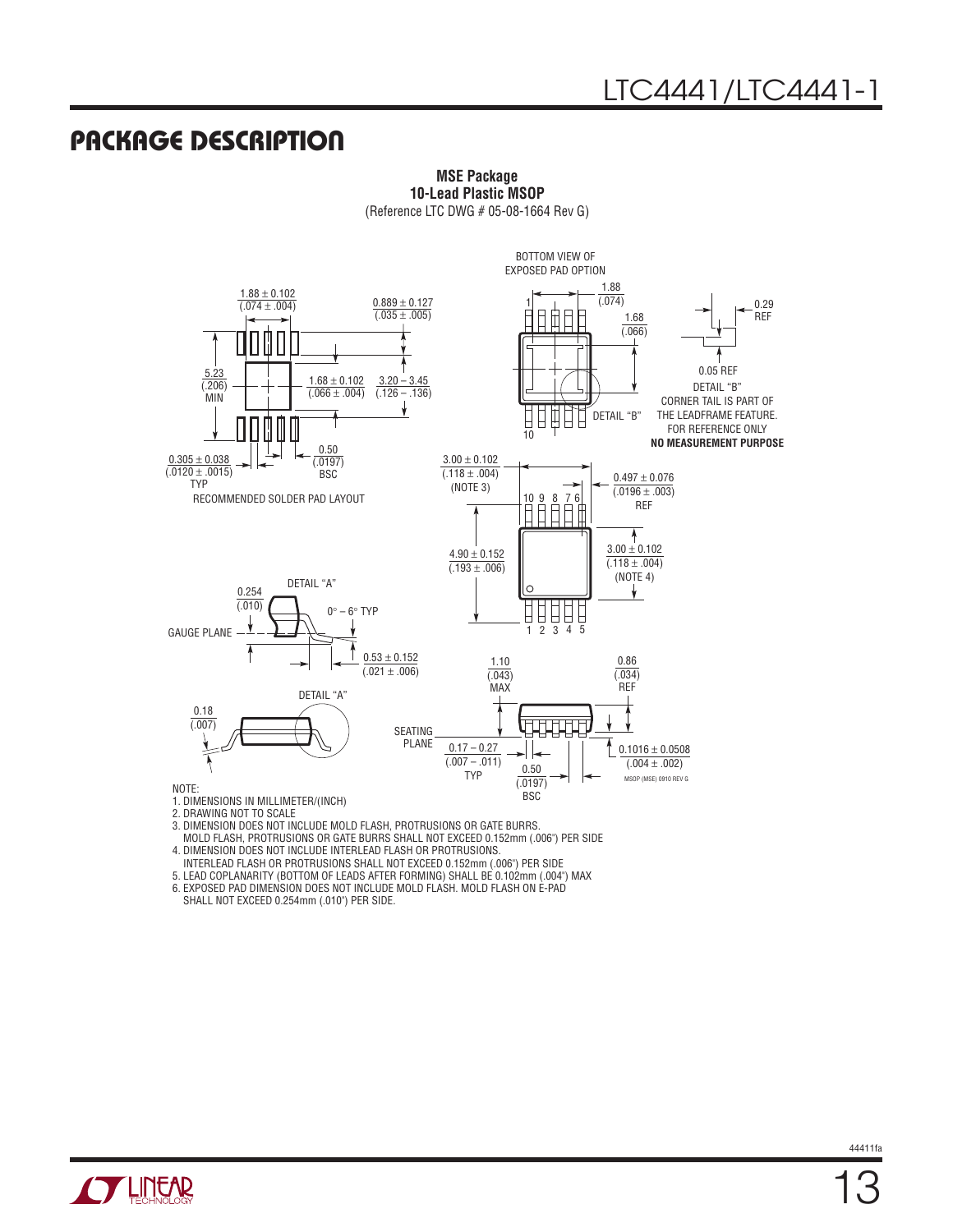### Package Description



**MSE Package 10-Lead Plastic MSOP** (Reference LTC DWG # 05-08-1664 Rev G)

2. DRAWING NOT TO SCALE

3. DIMENSION DOES NOT INCLUDE MOLD FLASH, PROTRUSIONS OR GATE BURRS.

 MOLD FLASH, PROTRUSIONS OR GATE BURRS SHALL NOT EXCEED 0.152mm (.006") PER SIDE 4. DIMENSION DOES NOT INCLUDE INTERLEAD FLASH OR PROTRUSIONS.

INTERLEAD FLASH OR PROTRUSIONS SHALL NOT EXCEED 0.152mm (.006") PER SIDE

5. LEAD COPLANARITY (BOTTOM OF LEADS AFTER FORMING) SHALL BE 0.102mm (.004") MAX

6. EXPOSED PAD DIMENSION DOES NOT INCLUDE MOLD FLASH. MOLD FLASH ON E-PAD

SHALL NOT EXCEED 0.254mm (.010") PER SIDE.

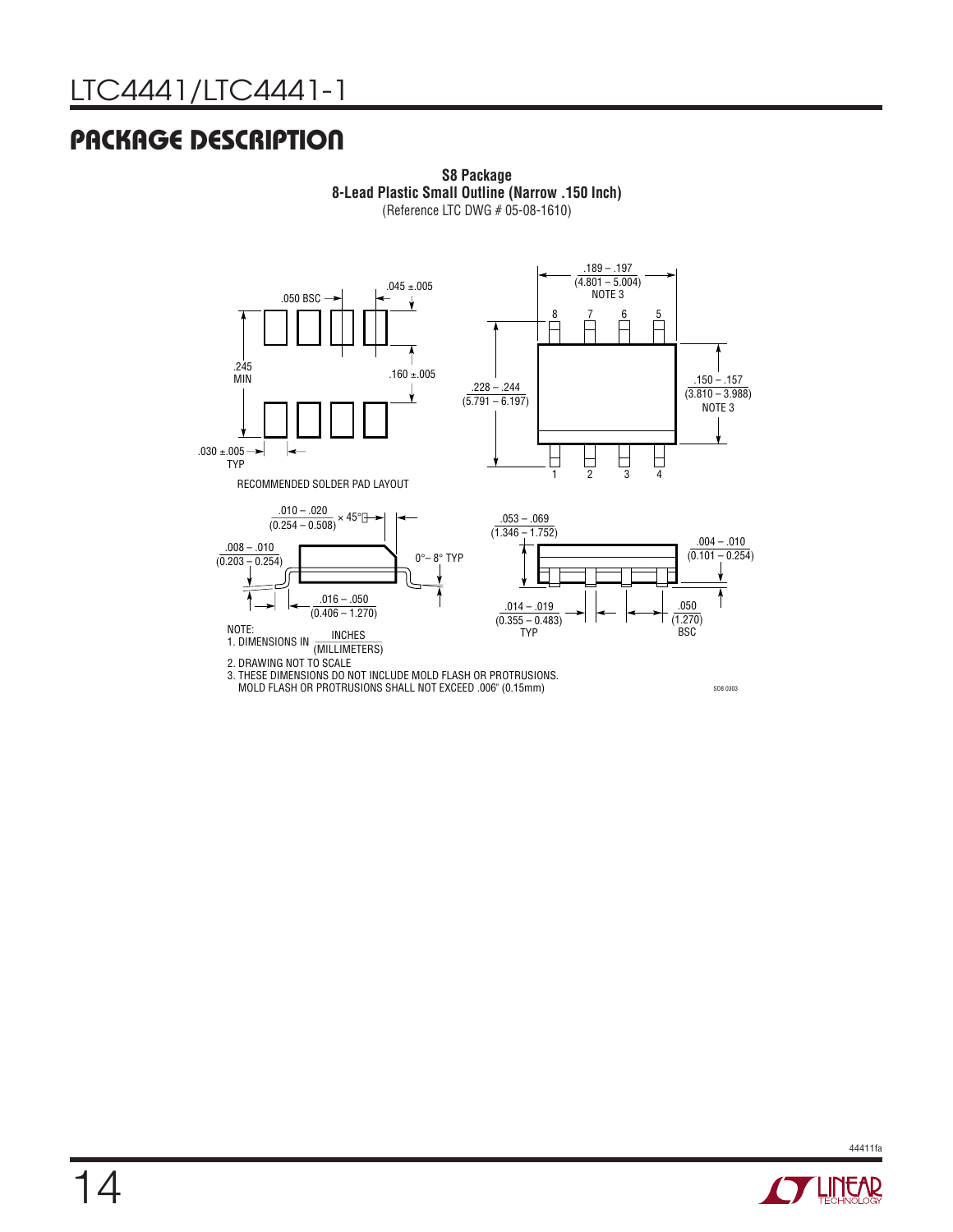### Package Description



**S8 Package 8-Lead Plastic Small Outline (Narrow .150 Inch)** (Reference LTC DWG # 05-08-1610)

MOLD FLASH OR PROTRUSIONS SHALL NOT EXCEED .006" (0.15mm)

SO8 0303

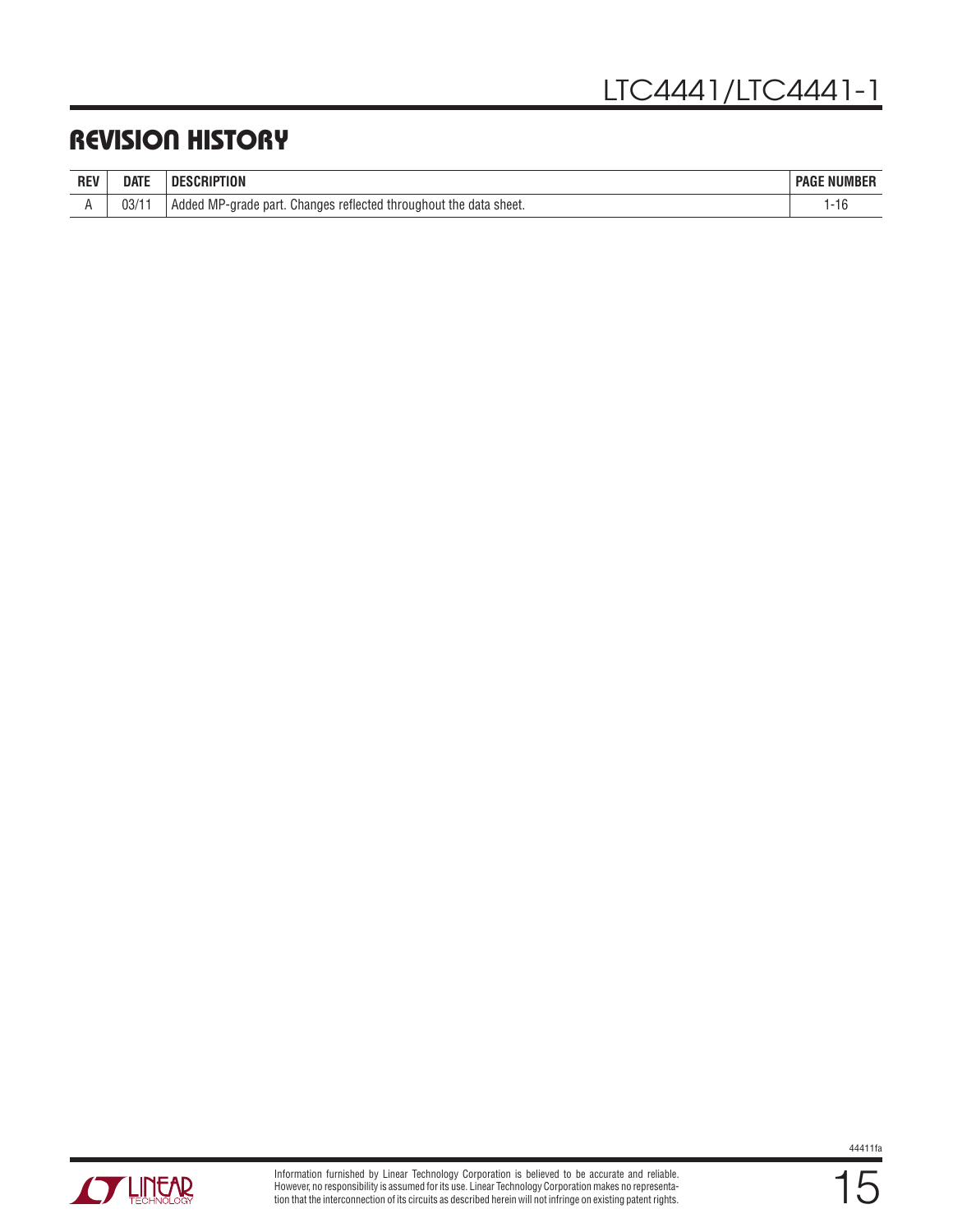### Revision History

|            | <b>DATE</b> | <b>DESCRIPTION</b>                                                | : NUMBER    |
|------------|-------------|-------------------------------------------------------------------|-------------|
| <b>REV</b> |             | <b>DESC</b>                                                       | <b>PAGE</b> |
|            | 03/11       | Added MP-grade part. Changes reflected throughout the data sheet. |             |

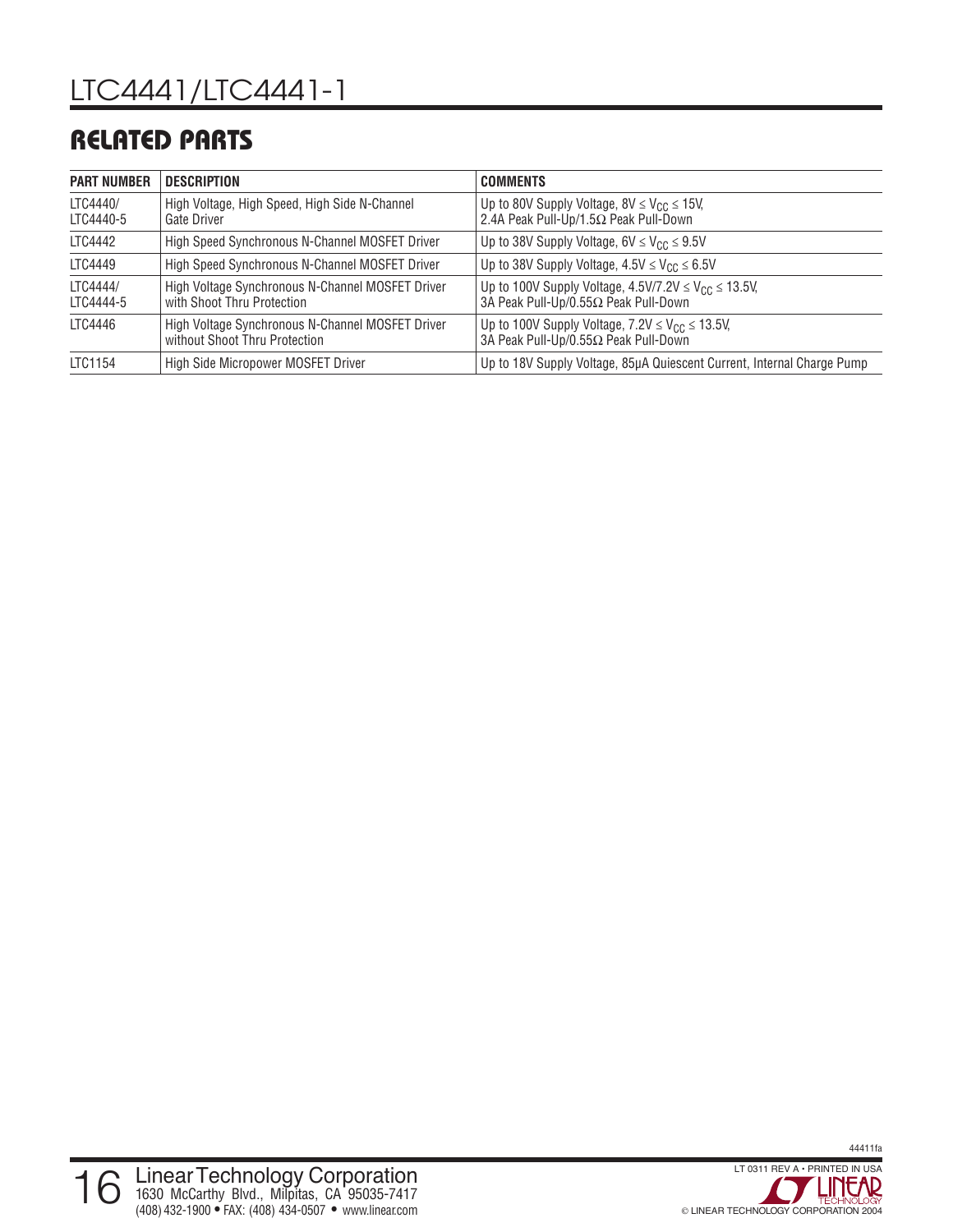### Related Parts

| <b>PART NUMBER</b>    | DESCRIPTION                                                                       | <b>COMMENTS</b>                                                                                         |
|-----------------------|-----------------------------------------------------------------------------------|---------------------------------------------------------------------------------------------------------|
| LTC4440/<br>LTC4440-5 | High Voltage, High Speed, High Side N-Channel<br>Gate Driver                      | Up to 80V Supply Voltage, $8V \leq V_{CC} \leq 15V$ ,<br>2.4A Peak Pull-Up/1.5Ω Peak Pull-Down          |
| LTC4442               | High Speed Synchronous N-Channel MOSFET Driver                                    | Up to 38V Supply Voltage, $6V \leq V_{CC} \leq 9.5V$                                                    |
| LTC4449               | High Speed Synchronous N-Channel MOSFET Driver                                    | Up to 38V Supply Voltage, $4.5V \leq V_{CC} \leq 6.5V$                                                  |
| LTC4444/<br>LTC4444-5 | High Voltage Synchronous N-Channel MOSFET Driver<br>with Shoot Thru Protection    | Up to 100V Supply Voltage, $4.5V/7.2V \leq V_{CC} \leq 13.5V$ ,<br>3A Peak Pull-Up/0.55Ω Peak Pull-Down |
| LTC4446               | High Voltage Synchronous N-Channel MOSFET Driver<br>without Shoot Thru Protection | Up to 100V Supply Voltage, $7.2V \leq V_{CC} \leq 13.5V$ ,<br>3A Peak Pull-Up/0.55Ω Peak Pull-Down      |
| LTC1154               | High Side Micropower MOSFET Driver                                                | Up to 18V Supply Voltage, 85µA Quiescent Current, Internal Charge Pump                                  |